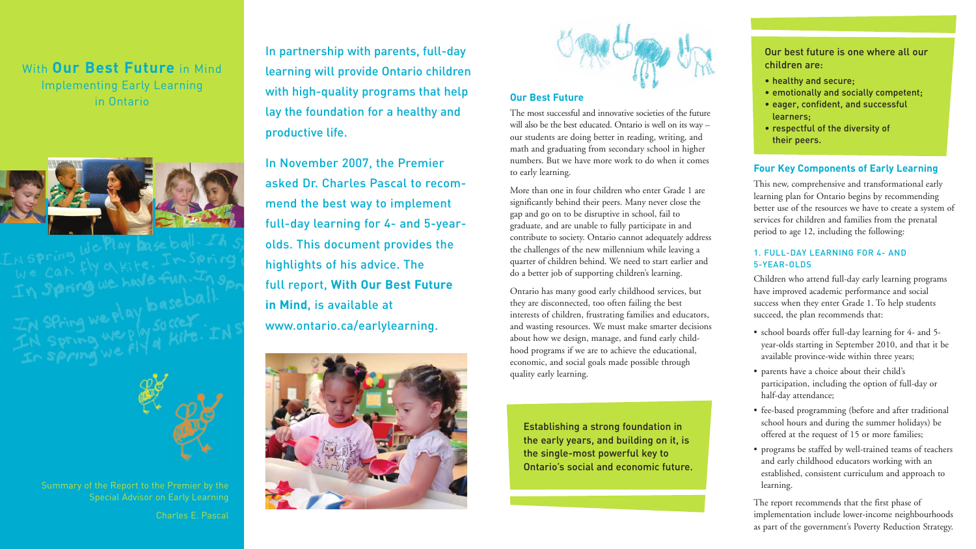# With **Our Best Future** in Mind Implementing Early Learning in Ontario







Summary of the Report to the Premier by the Special Advisor on Early Learning

Charles E. Pascal

In partnership with parents, full-day learning will provide Ontario children with high-quality programs that help lay the foundation for a healthy and productive life.

In November 2007, the Premier asked Dr. Charles Pascal to recommend the best way to implement full-day learning for 4- and 5-yearolds. This document provides the highlights of his advice. The full report, **With Our Best Future in Mind**, is available at www.ontario.ca/earlylearning.





# **Our Best Future**

The most successful and innovative societies of the future will also be the best educated. Ontario is well on its way – our students are doing better in reading, writing, and math and graduating from secondary school in higher numbers. But we have more work to do when it comes to early learning.

More than one in four children who enter Grade 1 are significantly behind their peers. Many never close the gap and go on to be disruptive in school, fail to graduate, and are unable to fully participate in and contribute to society. Ontario cannot adequately address the challenges of the new millennium while leaving a quarter of children behind. We need to start earlier and do a better job of supporting children's learning.

Ontario has many good early childhood services, but they are disconnected, too often failing the best interests of children, frustrating families and educators, and wasting resources. We must make smarter decisions about how we design, manage, and fund early childhood programs if we are to achieve the educational, economic, and social goals made possible through quality early learning.

Establishing a strong foundation in the early years, and building on it, is the single-most powerful key to Ontario's social and economic future.

- Our best future is one where all our children are:
- healthy and secure;
- emotionally and socially competent;
- eager, confident, and successful learners;
- respectful of the diversity of their peers.

## **Four Key Components of Early Learning**

This new, comprehensive and transformational early learning plan for Ontario begins by recommending better use of the resources we have to create a system of services for children and families from the prenatal period to age 12, including the following:

### 1. FULL-DAY LEARNING FOR 4- AND 5-YEAR-OLDS

Children who attend full-day early learning programs have improved academic performance and social success when they enter Grade 1. To help students succeed, the plan recommends that:

- school boards offer full-day learning for 4- and 5 year-olds starting in September 2010, and that it be available province-wide within three years;
- parents have a choice about their child's participation, including the option of full-day or half-day attendance;
- fee-based programming (before and after traditional school hours and during the summer holidays) be offered at the request of 15 or more families;
- programs be staffed by well-trained teams of teachers and early childhood educators working with an established, consistent curriculum and approach to learning.
- The report recommends that the first phase of implementation include lower-income neighbourhoods as part of the government's Poverty Reduction Strategy.